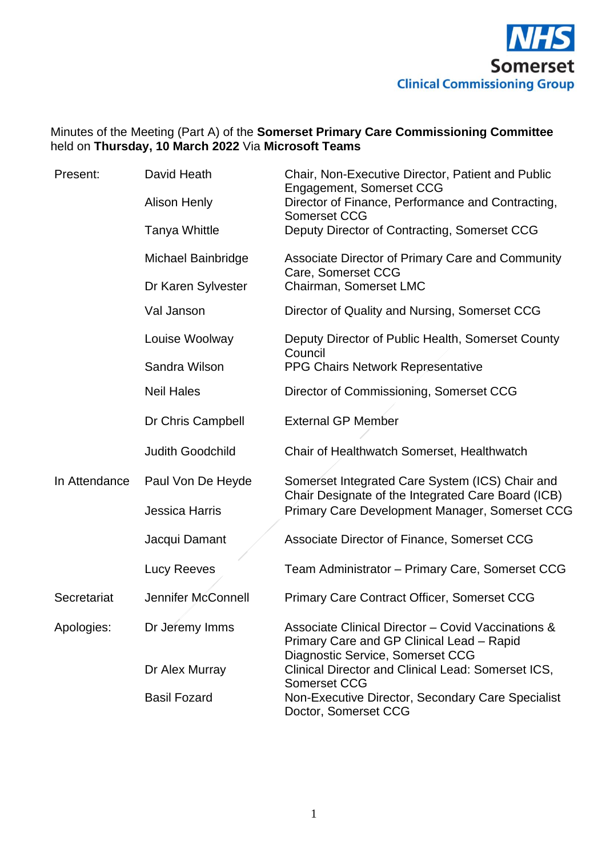

# Minutes of the Meeting (Part A) of the **Somerset Primary Care Commissioning Committee**  held on **Thursday, 10 March 2022** Via **Microsoft Teams**

| Present:      | David Heath             | Chair, Non-Executive Director, Patient and Public<br>Engagement, Somerset CCG                          |
|---------------|-------------------------|--------------------------------------------------------------------------------------------------------|
|               | <b>Alison Henly</b>     | Director of Finance, Performance and Contracting,<br><b>Somerset CCG</b>                               |
|               | <b>Tanya Whittle</b>    | Deputy Director of Contracting, Somerset CCG                                                           |
|               | Michael Bainbridge      | Associate Director of Primary Care and Community<br>Care, Somerset CCG                                 |
|               | Dr Karen Sylvester      | Chairman, Somerset LMC                                                                                 |
|               | Val Janson              | Director of Quality and Nursing, Somerset CCG                                                          |
|               | Louise Woolway          | Deputy Director of Public Health, Somerset County<br>Council                                           |
|               | Sandra Wilson           | PPG Chairs Network Representative                                                                      |
|               | <b>Neil Hales</b>       | Director of Commissioning, Somerset CCG                                                                |
|               | Dr Chris Campbell       | <b>External GP Member</b>                                                                              |
|               | <b>Judith Goodchild</b> | Chair of Healthwatch Somerset, Healthwatch                                                             |
| In Attendance | Paul Von De Heyde       | Somerset Integrated Care System (ICS) Chair and<br>Chair Designate of the Integrated Care Board (ICB)  |
|               | <b>Jessica Harris</b>   | Primary Care Development Manager, Somerset CCG                                                         |
|               | Jacqui Damant           | Associate Director of Finance, Somerset CCG                                                            |
|               | Lucy Reeves             | Team Administrator - Primary Care, Somerset CCG                                                        |
| Secretariat   | Jennifer McConnell      | <b>Primary Care Contract Officer, Somerset CCG</b>                                                     |
| Apologies:    | Dr Jeremy Imms          | Associate Clinical Director - Covid Vaccinations &<br>Primary Care and GP Clinical Lead - Rapid        |
|               | Dr Alex Murray          | Diagnostic Service, Somerset CCG<br>Clinical Director and Clinical Lead: Somerset ICS,<br>Somerset CCG |
|               | <b>Basil Fozard</b>     | Non-Executive Director, Secondary Care Specialist<br>Doctor, Somerset CCG                              |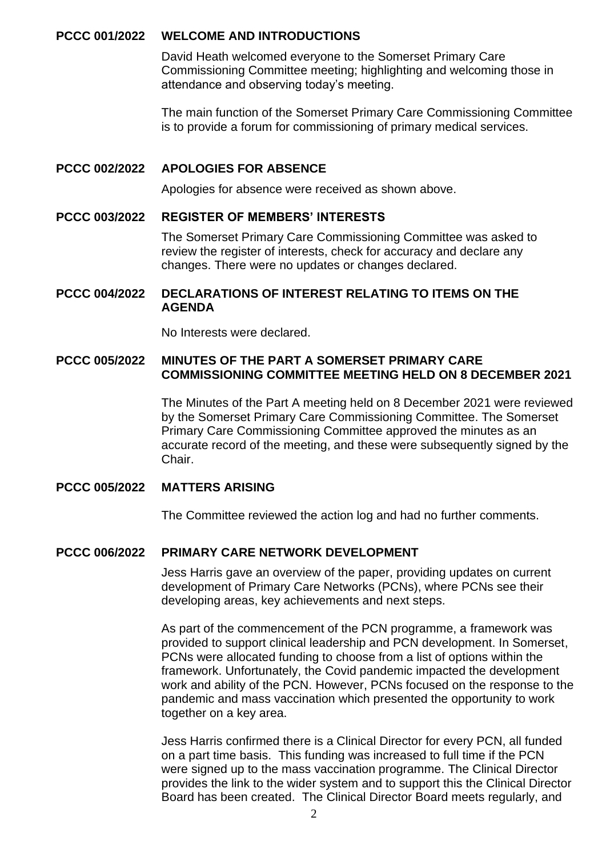### **PCCC 001/2022 WELCOME AND INTRODUCTIONS**

David Heath welcomed everyone to the Somerset Primary Care Commissioning Committee meeting; highlighting and welcoming those in attendance and observing today's meeting.

The main function of the Somerset Primary Care Commissioning Committee is to provide a forum for commissioning of primary medical services.

### **PCCC 002/2022 APOLOGIES FOR ABSENCE**

Apologies for absence were received as shown above.

### **PCCC 003/2022 REGISTER OF MEMBERS' INTERESTS**

The Somerset Primary Care Commissioning Committee was asked to review the register of interests, check for accuracy and declare any changes. There were no updates or changes declared.

### **PCCC 004/2022 DECLARATIONS OF INTEREST RELATING TO ITEMS ON THE AGENDA**

No Interests were declared.

## **PCCC 005/2022 MINUTES OF THE PART A SOMERSET PRIMARY CARE COMMISSIONING COMMITTEE MEETING HELD ON 8 DECEMBER 2021**

The Minutes of the Part A meeting held on 8 December 2021 were reviewed by the Somerset Primary Care Commissioning Committee. The Somerset Primary Care Commissioning Committee approved the minutes as an accurate record of the meeting, and these were subsequently signed by the Chair.

## **PCCC 005/2022 MATTERS ARISING**

The Committee reviewed the action log and had no further comments.

## **PCCC 006/2022 PRIMARY CARE NETWORK DEVELOPMENT**

Jess Harris gave an overview of the paper, providing updates on current development of Primary Care Networks (PCNs), where PCNs see their developing areas, key achievements and next steps.

As part of the commencement of the PCN programme, a framework was provided to support clinical leadership and PCN development. In Somerset, PCNs were allocated funding to choose from a list of options within the framework. Unfortunately, the Covid pandemic impacted the development work and ability of the PCN. However, PCNs focused on the response to the pandemic and mass vaccination which presented the opportunity to work together on a key area.

Jess Harris confirmed there is a Clinical Director for every PCN, all funded on a part time basis. This funding was increased to full time if the PCN were signed up to the mass vaccination programme. The Clinical Director provides the link to the wider system and to support this the Clinical Director Board has been created. The Clinical Director Board meets regularly, and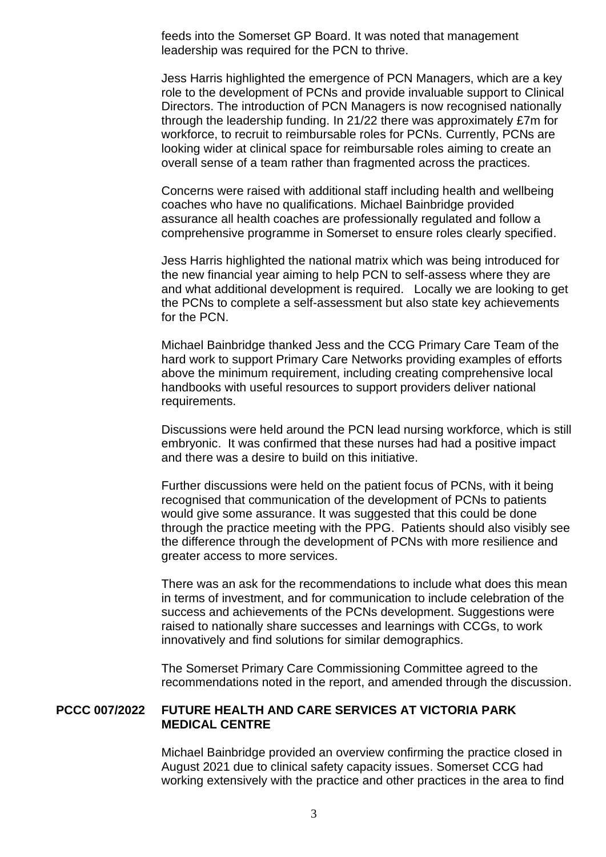feeds into the Somerset GP Board. It was noted that management leadership was required for the PCN to thrive.

Jess Harris highlighted the emergence of PCN Managers, which are a key role to the development of PCNs and provide invaluable support to Clinical Directors. The introduction of PCN Managers is now recognised nationally through the leadership funding. In 21/22 there was approximately £7m for workforce, to recruit to reimbursable roles for PCNs. Currently, PCNs are looking wider at clinical space for reimbursable roles aiming to create an overall sense of a team rather than fragmented across the practices.

Concerns were raised with additional staff including health and wellbeing coaches who have no qualifications. Michael Bainbridge provided assurance all health coaches are professionally regulated and follow a comprehensive programme in Somerset to ensure roles clearly specified.

Jess Harris highlighted the national matrix which was being introduced for the new financial year aiming to help PCN to self-assess where they are and what additional development is required. Locally we are looking to get the PCNs to complete a self-assessment but also state key achievements for the PCN.

Michael Bainbridge thanked Jess and the CCG Primary Care Team of the hard work to support Primary Care Networks providing examples of efforts above the minimum requirement, including creating comprehensive local handbooks with useful resources to support providers deliver national requirements.

Discussions were held around the PCN lead nursing workforce, which is still embryonic. It was confirmed that these nurses had had a positive impact and there was a desire to build on this initiative.

Further discussions were held on the patient focus of PCNs, with it being recognised that communication of the development of PCNs to patients would give some assurance. It was suggested that this could be done through the practice meeting with the PPG. Patients should also visibly see the difference through the development of PCNs with more resilience and greater access to more services.

There was an ask for the recommendations to include what does this mean in terms of investment, and for communication to include celebration of the success and achievements of the PCNs development. Suggestions were raised to nationally share successes and learnings with CCGs, to work innovatively and find solutions for similar demographics.

The Somerset Primary Care Commissioning Committee agreed to the recommendations noted in the report, and amended through the discussion.

### **PCCC 007/2022 FUTURE HEALTH AND CARE SERVICES AT VICTORIA PARK MEDICAL CENTRE**

Michael Bainbridge provided an overview confirming the practice closed in August 2021 due to clinical safety capacity issues. Somerset CCG had working extensively with the practice and other practices in the area to find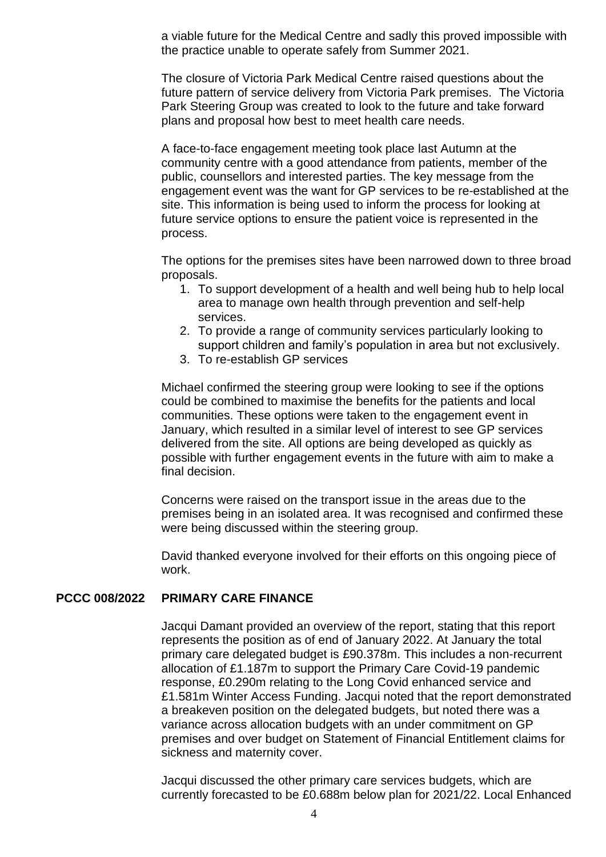a viable future for the Medical Centre and sadly this proved impossible with the practice unable to operate safely from Summer 2021.

The closure of Victoria Park Medical Centre raised questions about the future pattern of service delivery from Victoria Park premises. The Victoria Park Steering Group was created to look to the future and take forward plans and proposal how best to meet health care needs.

A face-to-face engagement meeting took place last Autumn at the community centre with a good attendance from patients, member of the public, counsellors and interested parties. The key message from the engagement event was the want for GP services to be re-established at the site. This information is being used to inform the process for looking at future service options to ensure the patient voice is represented in the process.

The options for the premises sites have been narrowed down to three broad proposals.

- 1. To support development of a health and well being hub to help local area to manage own health through prevention and self-help services.
- 2. To provide a range of community services particularly looking to support children and family's population in area but not exclusively.
- 3. To re-establish GP services

Michael confirmed the steering group were looking to see if the options could be combined to maximise the benefits for the patients and local communities. These options were taken to the engagement event in January, which resulted in a similar level of interest to see GP services delivered from the site. All options are being developed as quickly as possible with further engagement events in the future with aim to make a final decision.

Concerns were raised on the transport issue in the areas due to the premises being in an isolated area. It was recognised and confirmed these were being discussed within the steering group.

David thanked everyone involved for their efforts on this ongoing piece of work.

#### **PCCC 008/2022 PRIMARY CARE FINANCE**

Jacqui Damant provided an overview of the report, stating that this report represents the position as of end of January 2022. At January the total primary care delegated budget is £90.378m. This includes a non-recurrent allocation of £1.187m to support the Primary Care Covid-19 pandemic response, £0.290m relating to the Long Covid enhanced service and £1.581m Winter Access Funding. Jacqui noted that the report demonstrated a breakeven position on the delegated budgets, but noted there was a variance across allocation budgets with an under commitment on GP premises and over budget on Statement of Financial Entitlement claims for sickness and maternity cover.

Jacqui discussed the other primary care services budgets, which are currently forecasted to be £0.688m below plan for 2021/22. Local Enhanced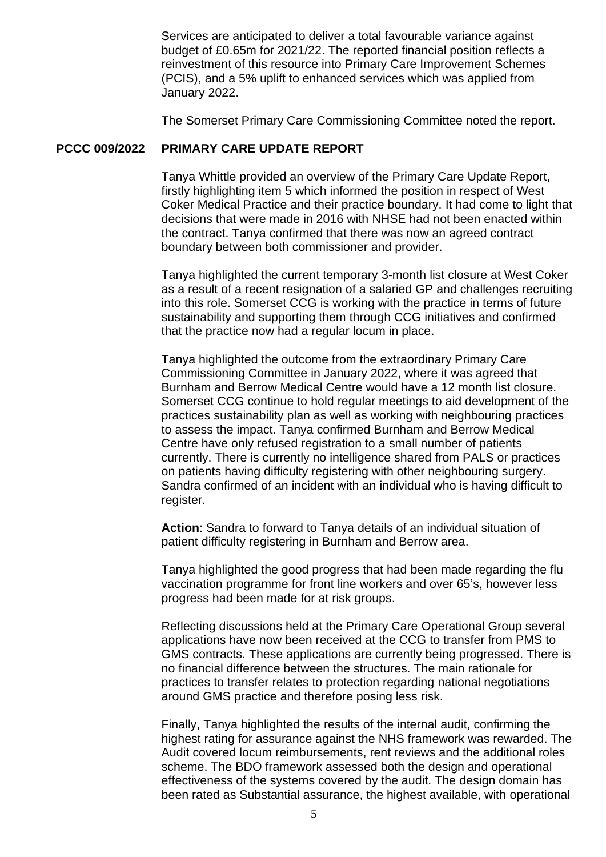Services are anticipated to deliver a total favourable variance against budget of £0.65m for 2021/22. The reported financial position reflects a reinvestment of this resource into Primary Care Improvement Schemes (PCIS), and a 5% uplift to enhanced services which was applied from January 2022.

The Somerset Primary Care Commissioning Committee noted the report.

#### **PCCC 009/2022 PRIMARY CARE UPDATE REPORT**

Tanya Whittle provided an overview of the Primary Care Update Report, firstly highlighting item 5 which informed the position in respect of West Coker Medical Practice and their practice boundary. It had come to light that decisions that were made in 2016 with NHSE had not been enacted within the contract. Tanya confirmed that there was now an agreed contract boundary between both commissioner and provider.

Tanya highlighted the current temporary 3-month list closure at West Coker as a result of a recent resignation of a salaried GP and challenges recruiting into this role. Somerset CCG is working with the practice in terms of future sustainability and supporting them through CCG initiatives and confirmed that the practice now had a regular locum in place.

Tanya highlighted the outcome from the extraordinary Primary Care Commissioning Committee in January 2022, where it was agreed that Burnham and Berrow Medical Centre would have a 12 month list closure. Somerset CCG continue to hold regular meetings to aid development of the practices sustainability plan as well as working with neighbouring practices to assess the impact. Tanya confirmed Burnham and Berrow Medical Centre have only refused registration to a small number of patients currently. There is currently no intelligence shared from PALS or practices on patients having difficulty registering with other neighbouring surgery. Sandra confirmed of an incident with an individual who is having difficult to register.

**Action**: Sandra to forward to Tanya details of an individual situation of patient difficulty registering in Burnham and Berrow area.

Tanya highlighted the good progress that had been made regarding the flu vaccination programme for front line workers and over 65's, however less progress had been made for at risk groups.

Reflecting discussions held at the Primary Care Operational Group several applications have now been received at the CCG to transfer from PMS to GMS contracts. These applications are currently being progressed. There is no financial difference between the structures. The main rationale for practices to transfer relates to protection regarding national negotiations around GMS practice and therefore posing less risk.

Finally, Tanya highlighted the results of the internal audit, confirming the highest rating for assurance against the NHS framework was rewarded. The Audit covered locum reimbursements, rent reviews and the additional roles scheme. The BDO framework assessed both the design and operational effectiveness of the systems covered by the audit. The design domain has been rated as Substantial assurance, the highest available, with operational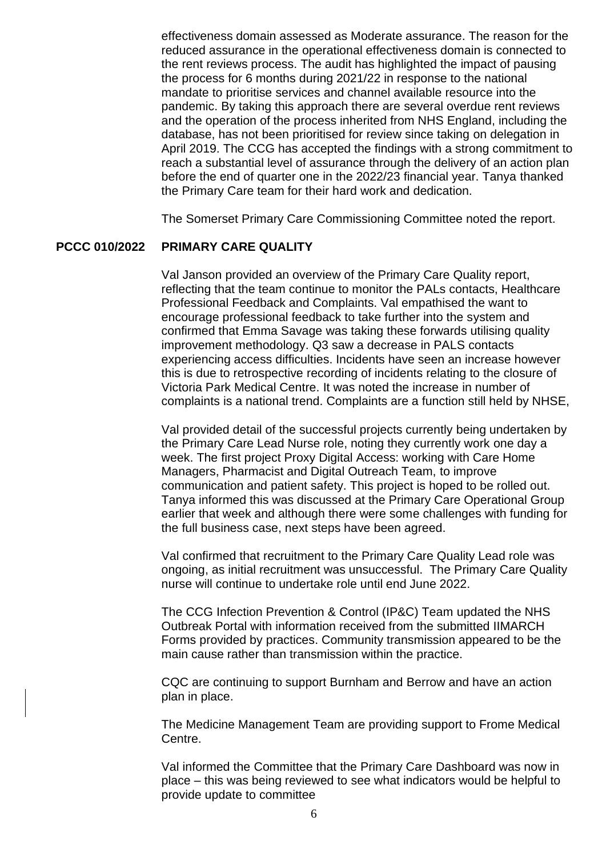effectiveness domain assessed as Moderate assurance. The reason for the reduced assurance in the operational effectiveness domain is connected to the rent reviews process. The audit has highlighted the impact of pausing the process for 6 months during 2021/22 in response to the national mandate to prioritise services and channel available resource into the pandemic. By taking this approach there are several overdue rent reviews and the operation of the process inherited from NHS England, including the database, has not been prioritised for review since taking on delegation in April 2019. The CCG has accepted the findings with a strong commitment to reach a substantial level of assurance through the delivery of an action plan before the end of quarter one in the 2022/23 financial year. Tanya thanked the Primary Care team for their hard work and dedication.

The Somerset Primary Care Commissioning Committee noted the report.

### **PCCC 010/2022 PRIMARY CARE QUALITY**

Val Janson provided an overview of the Primary Care Quality report, reflecting that the team continue to monitor the PALs contacts, Healthcare Professional Feedback and Complaints. Val empathised the want to encourage professional feedback to take further into the system and confirmed that Emma Savage was taking these forwards utilising quality improvement methodology. Q3 saw a decrease in PALS contacts experiencing access difficulties. Incidents have seen an increase however this is due to retrospective recording of incidents relating to the closure of Victoria Park Medical Centre. It was noted the increase in number of complaints is a national trend. Complaints are a function still held by NHSE,

Val provided detail of the successful projects currently being undertaken by the Primary Care Lead Nurse role, noting they currently work one day a week. The first project Proxy Digital Access: working with Care Home Managers, Pharmacist and Digital Outreach Team, to improve communication and patient safety. This project is hoped to be rolled out. Tanya informed this was discussed at the Primary Care Operational Group earlier that week and although there were some challenges with funding for the full business case, next steps have been agreed.

Val confirmed that recruitment to the Primary Care Quality Lead role was ongoing, as initial recruitment was unsuccessful. The Primary Care Quality nurse will continue to undertake role until end June 2022.

The CCG Infection Prevention & Control (IP&C) Team updated the NHS Outbreak Portal with information received from the submitted IIMARCH Forms provided by practices. Community transmission appeared to be the main cause rather than transmission within the practice.

CQC are continuing to support Burnham and Berrow and have an action plan in place.

The Medicine Management Team are providing support to Frome Medical Centre.

Val informed the Committee that the Primary Care Dashboard was now in place – this was being reviewed to see what indicators would be helpful to provide update to committee